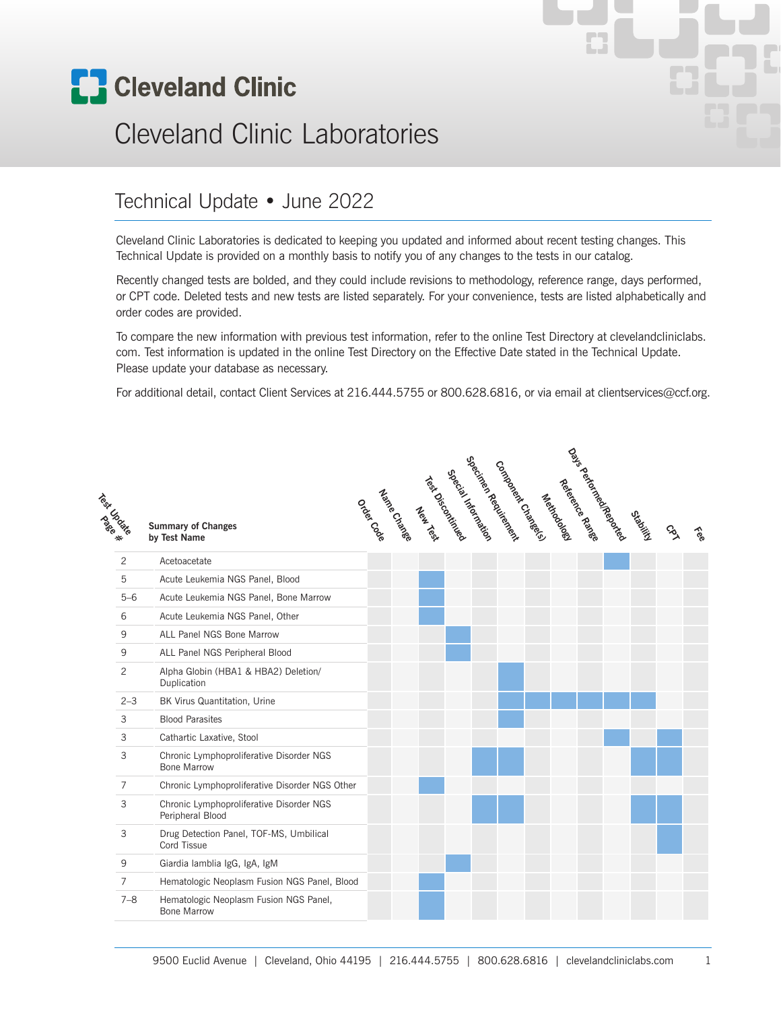

# Cleveland Clinic Laboratories

#### Technical Update • June 2022

Cleveland Clinic Laboratories is dedicated to keeping you updated and informed about recent testing changes. This Technical Update is provided on a monthly basis to notify you of any changes to the tests in our catalog.

Recently changed tests are bolded, and they could include revisions to methodology, reference range, days performed, or CPT code. Deleted tests and new tests are listed separately. For your convenience, tests are listed alphabetically and order codes are provided.

To compare the new information with previous test information, refer to the online Test Directory at clevelandcliniclabs. com. Test information is updated in the online Test Directory on the Effective Date stated in the Technical Update. Please update your database as necessary.

For additional detail, contact Client Services at 216.444.5755 or 800.628.6816, or via email at clientservices@ccf.org.

| Technologie    | <b>Summary of Changes</b><br>by Test Name                      |  | odonical state of the content of the content of the content of the content of the content of content |  | <sub>529</sub> er.<br><sub>529</sub> er.<br>53 | Contagret Contage | Newtodoge | Reference R2018e | Day's deficition explosively | Ortolic | $\mathcal{S}_{\lambda}$ | Fee |
|----------------|----------------------------------------------------------------|--|------------------------------------------------------------------------------------------------------|--|------------------------------------------------|-------------------|-----------|------------------|------------------------------|---------|-------------------------|-----|
| $\overline{2}$ | Acetoacetate                                                   |  |                                                                                                      |  |                                                |                   |           |                  |                              |         |                         |     |
| 5              | Acute Leukemia NGS Panel, Blood                                |  |                                                                                                      |  |                                                |                   |           |                  |                              |         |                         |     |
| $5 - 6$        | Acute Leukemia NGS Panel, Bone Marrow                          |  |                                                                                                      |  |                                                |                   |           |                  |                              |         |                         |     |
| 6              | Acute Leukemia NGS Panel, Other                                |  |                                                                                                      |  |                                                |                   |           |                  |                              |         |                         |     |
| 9              | ALL Panel NGS Bone Marrow                                      |  |                                                                                                      |  |                                                |                   |           |                  |                              |         |                         |     |
| 9              | ALL Panel NGS Peripheral Blood                                 |  |                                                                                                      |  |                                                |                   |           |                  |                              |         |                         |     |
| $\overline{2}$ | Alpha Globin (HBA1 & HBA2) Deletion/<br>Duplication            |  |                                                                                                      |  |                                                |                   |           |                  |                              |         |                         |     |
| $2 - 3$        | BK Virus Quantitation, Urine                                   |  |                                                                                                      |  |                                                |                   |           |                  |                              |         |                         |     |
| 3              | <b>Blood Parasites</b>                                         |  |                                                                                                      |  |                                                |                   |           |                  |                              |         |                         |     |
| 3              | Cathartic Laxative, Stool                                      |  |                                                                                                      |  |                                                |                   |           |                  |                              |         |                         |     |
| 3              | Chronic Lymphoproliferative Disorder NGS<br><b>Bone Marrow</b> |  |                                                                                                      |  |                                                |                   |           |                  |                              |         |                         |     |
| $\overline{7}$ | Chronic Lymphoproliferative Disorder NGS Other                 |  |                                                                                                      |  |                                                |                   |           |                  |                              |         |                         |     |
| 3              | Chronic Lymphoproliferative Disorder NGS<br>Peripheral Blood   |  |                                                                                                      |  |                                                |                   |           |                  |                              |         |                         |     |
| 3              | Drug Detection Panel, TOF-MS, Umbilical<br>Cord Tissue         |  |                                                                                                      |  |                                                |                   |           |                  |                              |         |                         |     |
| 9              | Giardia lamblia IgG, IgA, IgM                                  |  |                                                                                                      |  |                                                |                   |           |                  |                              |         |                         |     |
| $\overline{7}$ | Hematologic Neoplasm Fusion NGS Panel, Blood                   |  |                                                                                                      |  |                                                |                   |           |                  |                              |         |                         |     |
| $7 - 8$        | Hematologic Neoplasm Fusion NGS Panel,<br><b>Bone Marrow</b>   |  |                                                                                                      |  |                                                |                   |           |                  |                              |         |                         |     |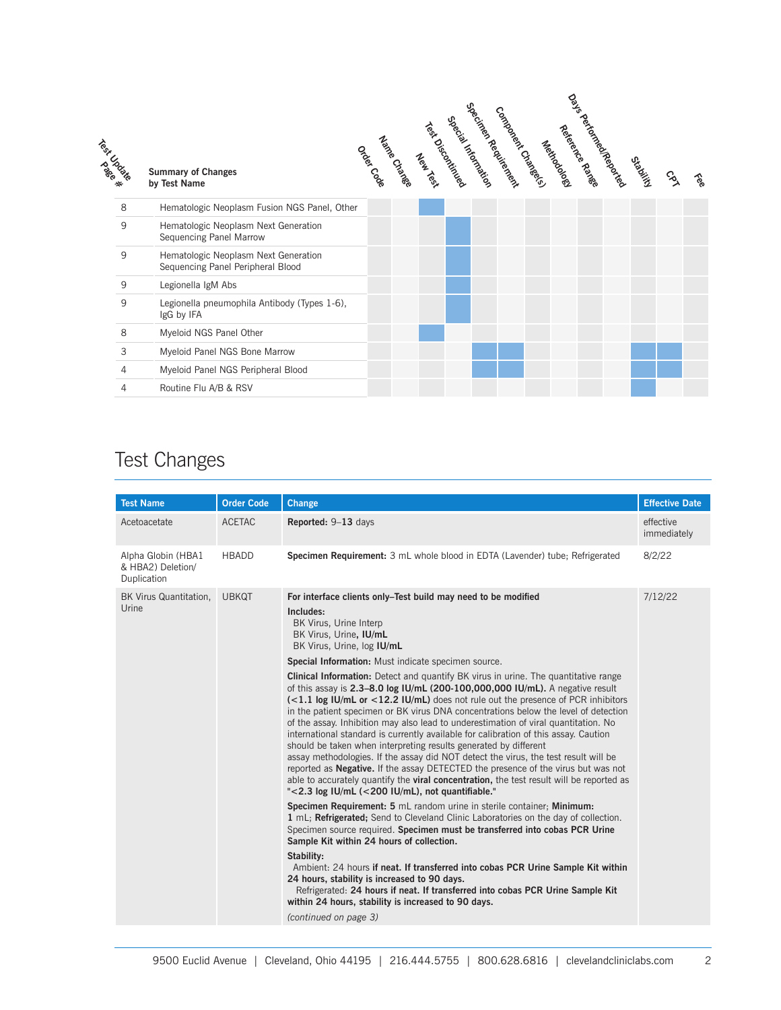| Testa Cate |   | <b>Summary of Changes</b><br>by Test Name                                 | October | Nande Croisee | New Text | Terminically | 526cintas<br>Special Literature | connell croates | Newtodogy | Aere <sup>ng</sup> e Ran <sup>ge</sup> | na feroning Reparts | Orbitics | $\mathcal{S}$ | १९० |
|------------|---|---------------------------------------------------------------------------|---------|---------------|----------|--------------|---------------------------------|-----------------|-----------|----------------------------------------|---------------------|----------|---------------|-----|
|            | 8 | Hematologic Neoplasm Fusion NGS Panel, Other                              |         |               |          |              |                                 |                 |           |                                        |                     |          |               |     |
|            | 9 | Hematologic Neoplasm Next Generation<br>Sequencing Panel Marrow           |         |               |          |              |                                 |                 |           |                                        |                     |          |               |     |
|            | 9 | Hematologic Neoplasm Next Generation<br>Sequencing Panel Peripheral Blood |         |               |          |              |                                 |                 |           |                                        |                     |          |               |     |
|            | 9 | Legionella IgM Abs                                                        |         |               |          |              |                                 |                 |           |                                        |                     |          |               |     |
|            | 9 | Legionella pneumophila Antibody (Types 1-6),<br>IgG by IFA                |         |               |          |              |                                 |                 |           |                                        |                     |          |               |     |
|            | 8 | Myeloid NGS Panel Other                                                   |         |               |          |              |                                 |                 |           |                                        |                     |          |               |     |
|            | 3 | Myeloid Panel NGS Bone Marrow                                             |         |               |          |              |                                 |                 |           |                                        |                     |          |               |     |
|            | 4 | Myeloid Panel NGS Peripheral Blood                                        |         |               |          |              |                                 |                 |           |                                        |                     |          |               |     |
|            | 4 | Routine Flu A/B & RSV                                                     |         |               |          |              |                                 |                 |           |                                        |                     |          |               |     |

### Test Changes

| <b>Test Name</b>                                       | <b>Order Code</b> | Change                                                                                                                                                                                                                                                                                                                                                                                                                                                                                                                                                                                                                                                                                                                                                                                                                                                                                                                                                                                                                                                                                                                                                                                                                                                                                                                                                                                                                                                                                                                                                                                                                                                                                                                                                                                                  | <b>Effective Date</b>    |
|--------------------------------------------------------|-------------------|---------------------------------------------------------------------------------------------------------------------------------------------------------------------------------------------------------------------------------------------------------------------------------------------------------------------------------------------------------------------------------------------------------------------------------------------------------------------------------------------------------------------------------------------------------------------------------------------------------------------------------------------------------------------------------------------------------------------------------------------------------------------------------------------------------------------------------------------------------------------------------------------------------------------------------------------------------------------------------------------------------------------------------------------------------------------------------------------------------------------------------------------------------------------------------------------------------------------------------------------------------------------------------------------------------------------------------------------------------------------------------------------------------------------------------------------------------------------------------------------------------------------------------------------------------------------------------------------------------------------------------------------------------------------------------------------------------------------------------------------------------------------------------------------------------|--------------------------|
| Acetoacetate                                           | <b>ACETAC</b>     | Reported: 9-13 days                                                                                                                                                                                                                                                                                                                                                                                                                                                                                                                                                                                                                                                                                                                                                                                                                                                                                                                                                                                                                                                                                                                                                                                                                                                                                                                                                                                                                                                                                                                                                                                                                                                                                                                                                                                     | effective<br>immediately |
| Alpha Globin (HBA1<br>& HBA2) Deletion/<br>Duplication | <b>HBADD</b>      | Specimen Requirement: 3 mL whole blood in EDTA (Lavender) tube; Refrigerated                                                                                                                                                                                                                                                                                                                                                                                                                                                                                                                                                                                                                                                                                                                                                                                                                                                                                                                                                                                                                                                                                                                                                                                                                                                                                                                                                                                                                                                                                                                                                                                                                                                                                                                            | 8/2/22                   |
| BK Virus Quantitation.<br>Urine                        | <b>UBKQT</b>      | For interface clients only–Test build may need to be modified<br>Includes:<br>BK Virus, Urine Interp<br>BK Virus, Urine, IU/mL<br>BK Virus, Urine, log IU/mL<br>Special Information: Must indicate specimen source.<br><b>Clinical Information:</b> Detect and quantify BK virus in urine. The quantitative range<br>of this assay is 2.3-8.0 log IU/mL (200-100,000,000 IU/mL). A negative result<br>$\epsilon$ (<1.1 log IU/mL or <12.2 IU/mL) does not rule out the presence of PCR inhibitors<br>in the patient specimen or BK virus DNA concentrations below the level of detection<br>of the assay. Inhibition may also lead to underestimation of viral quantitation. No<br>international standard is currently available for calibration of this assay. Caution<br>should be taken when interpreting results generated by different<br>assay methodologies. If the assay did NOT detect the virus, the test result will be<br>reported as <b>Negative.</b> If the assay DETECTED the presence of the virus but was not<br>able to accurately quantify the <b>viral concentration</b> , the test result will be reported as<br>"<2.3 log IU/mL (<200 IU/mL), not quantifiable."<br>Specimen Requirement: 5 mL random urine in sterile container; Minimum:<br>1 mL; Refrigerated; Send to Cleveland Clinic Laboratories on the day of collection.<br>Specimen source required. Specimen must be transferred into cobas PCR Urine<br>Sample Kit within 24 hours of collection.<br>Stability:<br>Ambient: 24 hours if neat. If transferred into cobas PCR Urine Sample Kit within<br>24 hours, stability is increased to 90 days.<br>Refrigerated: 24 hours if neat. If transferred into cobas PCR Urine Sample Kit<br>within 24 hours, stability is increased to 90 days.<br>(continued on page 3) | 7/12/22                  |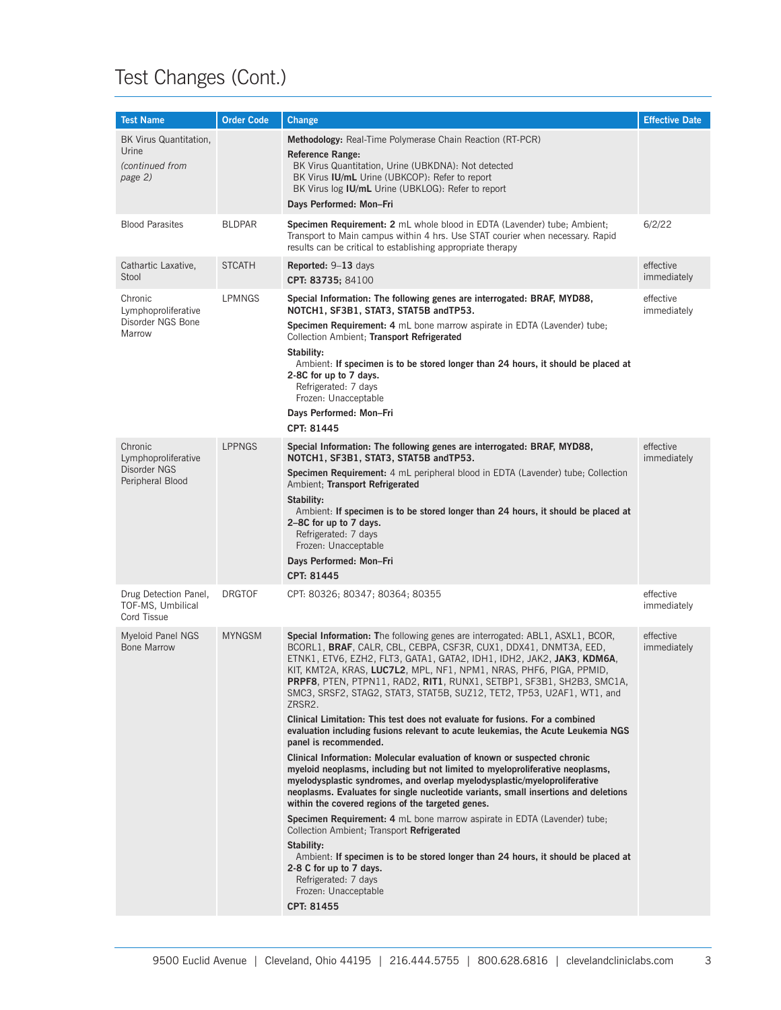# Test Changes (Cont.)

| <b>Test Name</b>                                              | <b>Order Code</b> | <b>Change</b>                                                                                                                                                                                                                                                                                                                                                                                                                                                                                                                               | <b>Effective Date</b>    |
|---------------------------------------------------------------|-------------------|---------------------------------------------------------------------------------------------------------------------------------------------------------------------------------------------------------------------------------------------------------------------------------------------------------------------------------------------------------------------------------------------------------------------------------------------------------------------------------------------------------------------------------------------|--------------------------|
| BK Virus Quantitation,<br>Urine<br>(continued from<br>page 2) |                   | Methodology: Real-Time Polymerase Chain Reaction (RT-PCR)<br><b>Reference Range:</b><br>BK Virus Quantitation, Urine (UBKDNA): Not detected<br>BK Virus IU/mL Urine (UBKCOP): Refer to report<br>BK Virus log IU/mL Urine (UBKLOG): Refer to report<br>Days Performed: Mon-Fri                                                                                                                                                                                                                                                              |                          |
| <b>Blood Parasites</b>                                        | <b>BLDPAR</b>     | Specimen Requirement: 2 mL whole blood in EDTA (Lavender) tube; Ambient;<br>Transport to Main campus within 4 hrs. Use STAT courier when necessary. Rapid<br>results can be critical to establishing appropriate therapy                                                                                                                                                                                                                                                                                                                    | 6/2/22                   |
| Cathartic Laxative,<br>Stool                                  | <b>STCATH</b>     | <b>Reported:</b> $9-13$ days<br>CPT: 83735; 84100                                                                                                                                                                                                                                                                                                                                                                                                                                                                                           | effective<br>immediately |
| Chronic<br>Lymphoproliferative                                | LPMNGS            | Special Information: The following genes are interrogated: BRAF, MYD88,<br>NOTCH1, SF3B1, STAT3, STAT5B andTP53.                                                                                                                                                                                                                                                                                                                                                                                                                            | effective<br>immediately |
| Disorder NGS Bone<br>Marrow                                   |                   | Specimen Requirement: 4 mL bone marrow aspirate in EDTA (Lavender) tube;<br>Collection Ambient; Transport Refrigerated<br>Stability:<br>Ambient: If specimen is to be stored longer than 24 hours, it should be placed at                                                                                                                                                                                                                                                                                                                   |                          |
|                                                               |                   | 2-8C for up to 7 days.<br>Refrigerated: 7 days<br>Frozen: Unacceptable<br>Days Performed: Mon-Fri                                                                                                                                                                                                                                                                                                                                                                                                                                           |                          |
|                                                               |                   | CPT: 81445                                                                                                                                                                                                                                                                                                                                                                                                                                                                                                                                  |                          |
| Chronic<br>Lymphoproliferative                                | <b>LPPNGS</b>     | Special Information: The following genes are interrogated: BRAF, MYD88,<br>NOTCH1, SF3B1, STAT3, STAT5B andTP53.                                                                                                                                                                                                                                                                                                                                                                                                                            | effective<br>immediately |
| Disorder NGS<br>Peripheral Blood                              |                   | <b>Specimen Requirement:</b> 4 mL peripheral blood in EDTA (Lavender) tube; Collection<br>Ambient; Transport Refrigerated                                                                                                                                                                                                                                                                                                                                                                                                                   |                          |
|                                                               |                   | Stability:<br>Ambient: If specimen is to be stored longer than 24 hours, it should be placed at<br>2-8C for up to 7 days.<br>Refrigerated: 7 days<br>Frozen: Unacceptable                                                                                                                                                                                                                                                                                                                                                                   |                          |
|                                                               |                   | Days Performed: Mon-Fri                                                                                                                                                                                                                                                                                                                                                                                                                                                                                                                     |                          |
|                                                               |                   | CPT: 81445                                                                                                                                                                                                                                                                                                                                                                                                                                                                                                                                  |                          |
| Drug Detection Panel,<br>TOF-MS, Umbilical<br>Cord Tissue     | <b>DRGTOF</b>     | CPT: 80326; 80347; 80364; 80355                                                                                                                                                                                                                                                                                                                                                                                                                                                                                                             | effective<br>immediately |
| <b>Myeloid Panel NGS</b><br><b>Bone Marrow</b>                | <b>MYNGSM</b>     | Special Information: The following genes are interrogated: ABL1, ASXL1, BCOR,<br>BCORL1, BRAF, CALR, CBL, CEBPA, CSF3R, CUX1, DDX41, DNMT3A, EED,<br>ETNK1, ETV6, EZH2, FLT3, GATA1, GATA2, IDH1, IDH2, JAK2, JAK3, KDM6A,<br>KIT, KMT2A, KRAS, LUC7L2, MPL, NF1, NPM1, NRAS, PHF6, PIGA, PPMID,<br>PRPF8, PTEN, PTPN11, RAD2, RIT1, RUNX1, SETBP1, SF3B1, SH2B3, SMC1A,<br>SMC3, SRSF2, STAG2, STAT3, STAT5B, SUZ12, TET2, TP53, U2AF1, WT1, and<br>ZRSR2.<br>Clinical Limitation: This test does not evaluate for fusions. For a combined | effective<br>immediately |
|                                                               |                   | evaluation including fusions relevant to acute leukemias, the Acute Leukemia NGS<br>panel is recommended.                                                                                                                                                                                                                                                                                                                                                                                                                                   |                          |
|                                                               |                   | Clinical Information: Molecular evaluation of known or suspected chronic<br>myeloid neoplasms, including but not limited to myeloproliferative neoplasms,<br>myelodysplastic syndromes, and overlap myelodysplastic/myeloproliferative<br>neoplasms. Evaluates for single nucleotide variants, small insertions and deletions<br>within the covered regions of the targeted genes.                                                                                                                                                          |                          |
|                                                               |                   | <b>Specimen Requirement: 4</b> mL bone marrow aspirate in EDTA (Lavender) tube;<br>Collection Ambient; Transport Refrigerated                                                                                                                                                                                                                                                                                                                                                                                                               |                          |
|                                                               |                   | Stability:<br>Ambient: If specimen is to be stored longer than 24 hours, it should be placed at<br>2-8 C for up to 7 days.<br>Refrigerated: 7 days<br>Frozen: Unacceptable                                                                                                                                                                                                                                                                                                                                                                  |                          |
|                                                               |                   | CPT: 81455                                                                                                                                                                                                                                                                                                                                                                                                                                                                                                                                  |                          |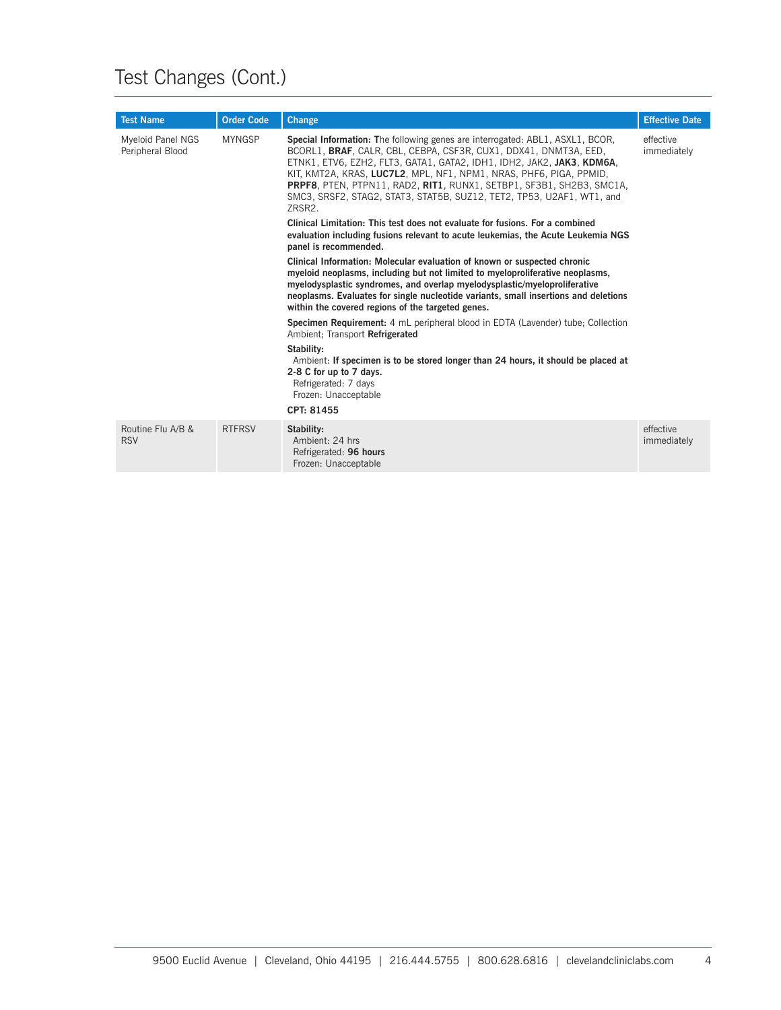# Test Changes (Cont.)

| <b>Test Name</b>                      | <b>Order Code</b>     | <b>Change</b>                                                                                                                                                                                                                                                                                                                                                                                                                                               | <b>Effective Date</b>    |
|---------------------------------------|-----------------------|-------------------------------------------------------------------------------------------------------------------------------------------------------------------------------------------------------------------------------------------------------------------------------------------------------------------------------------------------------------------------------------------------------------------------------------------------------------|--------------------------|
| Myeloid Panel NGS<br>Peripheral Blood | <b>MYNGSP</b>         | Special Information: The following genes are interrogated: ABL1, ASXL1, BCOR,<br>BCORL1, BRAF, CALR, CBL, CEBPA, CSF3R, CUX1, DDX41, DNMT3A, EED,<br>ETNK1, ETV6, EZH2, FLT3, GATA1, GATA2, IDH1, IDH2, JAK2, JAK3, KDM6A,<br>KIT, KMT2A, KRAS, LUC7L2, MPL, NF1, NPM1, NRAS, PHF6, PIGA, PPMID,<br>PRPF8, PTEN, PTPN11, RAD2, RIT1, RUNX1, SETBP1, SF3B1, SH2B3, SMC1A,<br>SMC3, SRSF2, STAG2, STAT3, STAT5B, SUZ12, TET2, TP53, U2AF1, WT1, and<br>ZRSR2. | effective<br>immediately |
|                                       | panel is recommended. | Clinical Limitation: This test does not evaluate for fusions. For a combined<br>evaluation including fusions relevant to acute leukemias, the Acute Leukemia NGS                                                                                                                                                                                                                                                                                            |                          |
|                                       |                       | Clinical Information: Molecular evaluation of known or suspected chronic<br>myeloid neoplasms, including but not limited to myeloproliferative neoplasms,<br>myelodysplastic syndromes, and overlap myelodysplastic/myeloproliferative<br>neoplasms. Evaluates for single nucleotide variants, small insertions and deletions<br>within the covered regions of the targeted genes.                                                                          |                          |
|                                       |                       | Specimen Requirement: 4 mL peripheral blood in EDTA (Lavender) tube; Collection<br>Ambient: Transport Refrigerated                                                                                                                                                                                                                                                                                                                                          |                          |
|                                       |                       | Stability:<br>Ambient: If specimen is to be stored longer than 24 hours, it should be placed at<br>2-8 C for up to 7 days.<br>Refrigerated: 7 days<br>Frozen: Unacceptable<br>CPT: 81455                                                                                                                                                                                                                                                                    |                          |
| Routine Flu A/B &<br><b>RSV</b>       | <b>RTFRSV</b>         | Stability:<br>Ambient: 24 hrs<br>Refrigerated: 96 hours<br>Frozen: Unacceptable                                                                                                                                                                                                                                                                                                                                                                             | effective<br>immediately |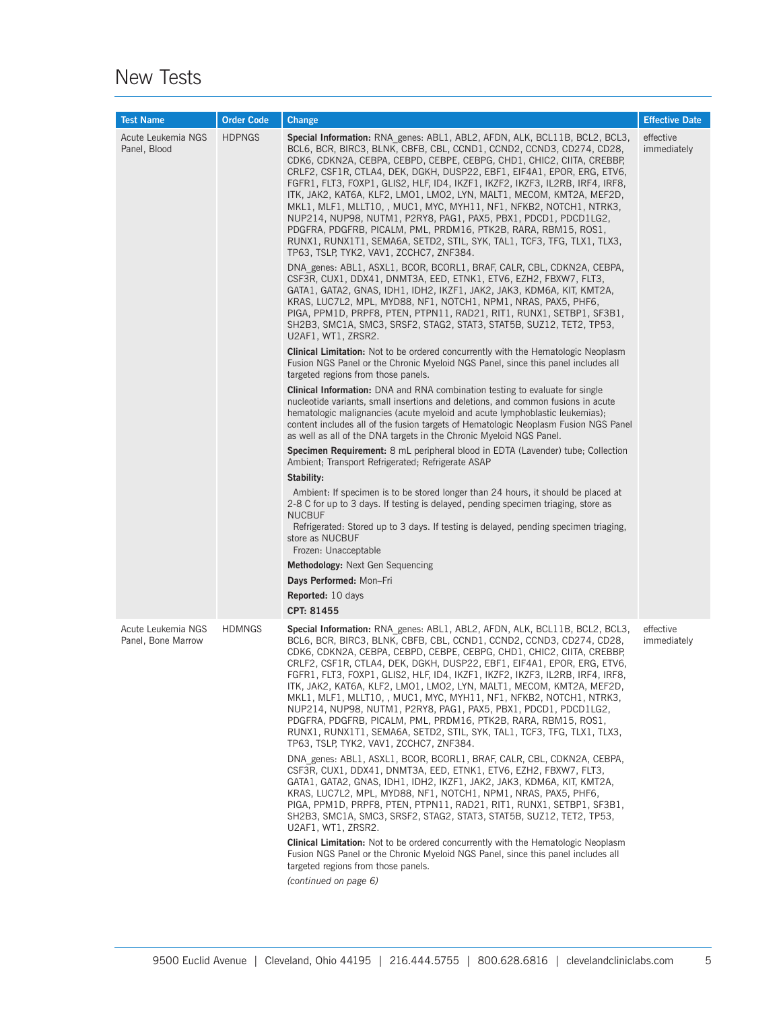### New Tests

| <b>Test Name</b>                         | <b>Order Code</b> | <b>Change</b>                                                                                                                                                                                                                                                                                                                                                                                                                                                                                                                                                                                                                                                                                                                                                                                                                                                                                                                                                                                                                                                                                                                                                                                                                                                                                                                                                                                                                                                                                                                                                                                                                                                                                                                                                                                                                                                                                                                                                                                                                                                                                                                                                                                                                                                                                                                                                                                                                                                                                                  | <b>Effective Date</b>    |
|------------------------------------------|-------------------|----------------------------------------------------------------------------------------------------------------------------------------------------------------------------------------------------------------------------------------------------------------------------------------------------------------------------------------------------------------------------------------------------------------------------------------------------------------------------------------------------------------------------------------------------------------------------------------------------------------------------------------------------------------------------------------------------------------------------------------------------------------------------------------------------------------------------------------------------------------------------------------------------------------------------------------------------------------------------------------------------------------------------------------------------------------------------------------------------------------------------------------------------------------------------------------------------------------------------------------------------------------------------------------------------------------------------------------------------------------------------------------------------------------------------------------------------------------------------------------------------------------------------------------------------------------------------------------------------------------------------------------------------------------------------------------------------------------------------------------------------------------------------------------------------------------------------------------------------------------------------------------------------------------------------------------------------------------------------------------------------------------------------------------------------------------------------------------------------------------------------------------------------------------------------------------------------------------------------------------------------------------------------------------------------------------------------------------------------------------------------------------------------------------------------------------------------------------------------------------------------------------|--------------------------|
| Acute Leukemia NGS<br>Panel, Blood       | <b>HDPNGS</b>     | Special Information: RNA genes: ABL1, ABL2, AFDN, ALK, BCL11B, BCL2, BCL3,<br>BCL6, BCR, BIRC3, BLNK, CBFB, CBL, CCND1, CCND2, CCND3, CD274, CD28,<br>CDK6, CDKN2A, CEBPA, CEBPD, CEBPE, CEBPG, CHD1, CHIC2, CIITA, CREBBP,<br>CRLF2, CSF1R, CTLA4, DEK, DGKH, DUSP22, EBF1, EIF4A1, EPOR, ERG, ETV6,<br>FGFR1, FLT3, FOXP1, GLIS2, HLF, ID4, IKZF1, IKZF2, IKZF3, IL2RB, IRF4, IRF8,<br>ITK, JAK2, KAT6A, KLF2, LMO1, LMO2, LYN, MALT1, MECOM, KMT2A, MEF2D,<br>MKL1, MLF1, MLLT10, , MUC1, MYC, MYH11, NF1, NFKB2, NOTCH1, NTRK3,<br>NUP214, NUP98, NUTM1, P2RY8, PAG1, PAX5, PBX1, PDCD1, PDCD1LG2,<br>PDGFRA, PDGFRB, PICALM, PML, PRDM16, PTK2B, RARA, RBM15, ROS1,<br>RUNX1, RUNX1T1, SEMA6A, SETD2, STIL, SYK, TAL1, TCF3, TFG, TLX1, TLX3,<br>TP63, TSLP, TYK2, VAV1, ZCCHC7, ZNF384.<br>DNA_genes: ABL1, ASXL1, BCOR, BCORL1, BRAF, CALR, CBL, CDKN2A, CEBPA,<br>CSF3R, CUX1, DDX41, DNMT3A, EED, ETNK1, ETV6, EZH2, FBXW7, FLT3,<br>GATA1, GATA2, GNAS, IDH1, IDH2, IKZF1, JAK2, JAK3, KDM6A, KIT, KMT2A,<br>KRAS, LUC7L2, MPL, MYD88, NF1, NOTCH1, NPM1, NRAS, PAX5, PHF6,<br>PIGA, PPM1D, PRPF8, PTEN, PTPN11, RAD21, RIT1, RUNX1, SETBP1, SF3B1,<br>SH2B3, SMC1A, SMC3, SRSF2, STAG2, STAT3, STAT5B, SUZ12, TET2, TP53,<br>U2AF1, WT1, ZRSR2.<br><b>Clinical Limitation:</b> Not to be ordered concurrently with the Hematologic Neoplasm<br>Fusion NGS Panel or the Chronic Myeloid NGS Panel, since this panel includes all<br>targeted regions from those panels.<br><b>Clinical Information:</b> DNA and RNA combination testing to evaluate for single<br>nucleotide variants, small insertions and deletions, and common fusions in acute<br>hematologic malignancies (acute myeloid and acute lymphoblastic leukemias);<br>content includes all of the fusion targets of Hematologic Neoplasm Fusion NGS Panel<br>as well as all of the DNA targets in the Chronic Myeloid NGS Panel.<br>Specimen Requirement: 8 mL peripheral blood in EDTA (Lavender) tube; Collection<br>Ambient; Transport Refrigerated; Refrigerate ASAP<br>Stability:<br>Ambient: If specimen is to be stored longer than 24 hours, it should be placed at<br>2-8 C for up to 3 days. If testing is delayed, pending specimen triaging, store as<br><b>NUCBUF</b><br>Refrigerated: Stored up to 3 days. If testing is delayed, pending specimen triaging,<br>store as NUCBUF<br>Frozen: Unacceptable<br><b>Methodology:</b> Next Gen Sequencing<br>Days Performed: Mon-Fri<br><b>Reported:</b> 10 days<br>CPT: 81455 | effective<br>immediately |
| Acute Leukemia NGS<br>Panel, Bone Marrow | <b>HDMNGS</b>     | <b>Special Information:</b> RNA genes: ABL1, ABL2, AFDN, ALK, BCL11B, BCL2, BCL3,<br>BCL6, BCR, BIRC3, BLNK, CBFB, CBL, CCND1, CCND2, CCND3, CD274, CD28,<br>CDK6, CDKN2A, CEBPA, CEBPD, CEBPE, CEBPG, CHD1, CHIC2, CIITA, CREBBP,<br>CRLF2, CSF1R, CTLA4, DEK, DGKH, DUSP22, EBF1, EIF4A1, EPOR, ERG, ETV6,<br>FGFR1, FLT3, FOXP1, GLIS2, HLF, ID4, IKZF1, IKZF2, IKZF3, IL2RB, IRF4, IRF8,<br>ITK, JAK2, KAT6A, KLF2, LMO1, LMO2, LYN, MALT1, MECOM, KMT2A, MEF2D,<br>MKL1, MLF1, MLLT10, , MUC1, MYC, MYH11, NF1, NFKB2, NOTCH1, NTRK3,<br>NUP214, NUP98, NUTM1, P2RY8, PAG1, PAX5, PBX1, PDCD1, PDCD1LG2,<br>PDGFRA, PDGFRB, PICALM, PML, PRDM16, PTK2B, RARA, RBM15, ROS1,<br>RUNX1, RUNX1T1, SEMA6A, SETD2, STIL, SYK, TAL1, TCF3, TFG, TLX1, TLX3,<br>TP63, TSLP, TYK2, VAV1, ZCCHC7, ZNF384.<br>DNA genes: ABL1, ASXL1, BCOR, BCORL1, BRAF, CALR, CBL, CDKN2A, CEBPA,<br>CSF3R, CUX1, DDX41, DNMT3A, EED, ETNK1, ETV6, EZH2, FBXW7, FLT3,<br>GATA1, GATA2, GNAS, IDH1, IDH2, IKZF1, JAK2, JAK3, KDM6A, KIT, KMT2A,<br>KRAS, LUC7L2, MPL, MYD88, NF1, NOTCH1, NPM1, NRAS, PAX5, PHF6,<br>PIGA, PPM1D, PRPF8, PTEN, PTPN11, RAD21, RIT1, RUNX1, SETBP1, SF3B1,<br>SH2B3, SMC1A, SMC3, SRSF2, STAG2, STAT3, STAT5B, SUZ12, TET2, TP53,<br>U2AF1, WT1, ZRSR2.<br><b>Clinical Limitation:</b> Not to be ordered concurrently with the Hematologic Neoplasm<br>Fusion NGS Panel or the Chronic Myeloid NGS Panel, since this panel includes all<br>targeted regions from those panels.<br>(continued on page 6)                                                                                                                                                                                                                                                                                                                                                                                                                                                                                                                                                                                                                                                                                                                                                                                                                                                                                                                                                                                              | effective<br>immediately |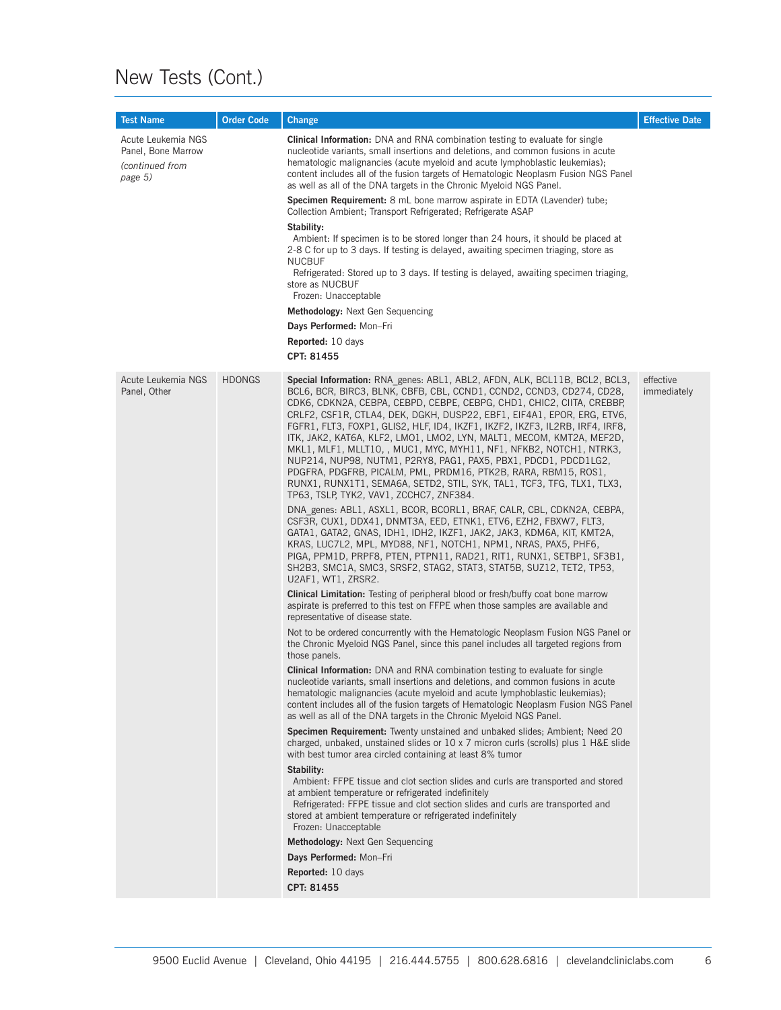# New Tests (Cont.)

| <b>Test Name</b>                                                       | <b>Order Code</b> | <b>Change</b>                                                                                                                                                                                                                                                                                                                                                                                                                                                                                                                                                                                                                                                                                                                                                                                 | <b>Effective Date</b>    |
|------------------------------------------------------------------------|-------------------|-----------------------------------------------------------------------------------------------------------------------------------------------------------------------------------------------------------------------------------------------------------------------------------------------------------------------------------------------------------------------------------------------------------------------------------------------------------------------------------------------------------------------------------------------------------------------------------------------------------------------------------------------------------------------------------------------------------------------------------------------------------------------------------------------|--------------------------|
| Acute Leukemia NGS<br>Panel, Bone Marrow<br>(continued from<br>page 5) |                   | <b>Clinical Information:</b> DNA and RNA combination testing to evaluate for single<br>nucleotide variants, small insertions and deletions, and common fusions in acute<br>hematologic malignancies (acute myeloid and acute lymphoblastic leukemias);<br>content includes all of the fusion targets of Hematologic Neoplasm Fusion NGS Panel<br>as well as all of the DNA targets in the Chronic Myeloid NGS Panel.                                                                                                                                                                                                                                                                                                                                                                          |                          |
|                                                                        |                   | Specimen Requirement: 8 mL bone marrow aspirate in EDTA (Lavender) tube;<br>Collection Ambient; Transport Refrigerated; Refrigerate ASAP                                                                                                                                                                                                                                                                                                                                                                                                                                                                                                                                                                                                                                                      |                          |
|                                                                        |                   | Stability:<br>Ambient: If specimen is to be stored longer than 24 hours, it should be placed at<br>2-8 C for up to 3 days. If testing is delayed, awaiting specimen triaging, store as<br><b>NUCBUF</b><br>Refrigerated: Stored up to 3 days. If testing is delayed, awaiting specimen triaging,<br>store as NUCBUF<br>Frozen: Unacceptable                                                                                                                                                                                                                                                                                                                                                                                                                                                   |                          |
|                                                                        |                   | <b>Methodology:</b> Next Gen Sequencing                                                                                                                                                                                                                                                                                                                                                                                                                                                                                                                                                                                                                                                                                                                                                       |                          |
|                                                                        |                   | Days Performed: Mon-Fri                                                                                                                                                                                                                                                                                                                                                                                                                                                                                                                                                                                                                                                                                                                                                                       |                          |
|                                                                        |                   | <b>Reported:</b> 10 days                                                                                                                                                                                                                                                                                                                                                                                                                                                                                                                                                                                                                                                                                                                                                                      |                          |
|                                                                        |                   | CPT: 81455                                                                                                                                                                                                                                                                                                                                                                                                                                                                                                                                                                                                                                                                                                                                                                                    |                          |
| Acute Leukemia NGS<br>Panel, Other                                     | <b>HDONGS</b>     | Special Information: RNA genes: ABL1, ABL2, AFDN, ALK, BCL11B, BCL2, BCL3,<br>BCL6, BCR, BIRC3, BLNK, CBFB, CBL, CCND1, CCND2, CCND3, CD274, CD28,<br>CDK6, CDKN2A, CEBPA, CEBPD, CEBPE, CEBPG, CHD1, CHIC2, CIITA, CREBBP,<br>CRLF2, CSF1R, CTLA4, DEK, DGKH, DUSP22, EBF1, EIF4A1, EPOR, ERG, ETV6,<br>FGFR1, FLT3, FOXP1, GLIS2, HLF, ID4, IKZF1, IKZF2, IKZF3, IL2RB, IRF4, IRF8,<br>ITK, JAK2, KAT6A, KLF2, LMO1, LMO2, LYN, MALT1, MECOM, KMT2A, MEF2D,<br>MKL1, MLF1, MLLT10, , MUC1, MYC, MYH11, NF1, NFKB2, NOTCH1, NTRK3,<br>NUP214, NUP98, NUTM1, P2RY8, PAG1, PAX5, PBX1, PDCD1, PDCD1LG2,<br>PDGFRA, PDGFRB, PICALM, PML, PRDM16, PTK2B, RARA, RBM15, ROS1,<br>RUNX1, RUNX1T1, SEMA6A, SETD2, STIL, SYK, TAL1, TCF3, TFG, TLX1, TLX3,<br>TP63, TSLP, TYK2, VAV1, ZCCHC7, ZNF384. | effective<br>immediately |
|                                                                        |                   | DNA genes: ABL1, ASXL1, BCOR, BCORL1, BRAF, CALR, CBL, CDKN2A, CEBPA,<br>CSF3R, CUX1, DDX41, DNMT3A, EED, ETNK1, ETV6, EZH2, FBXW7, FLT3,<br>GATA1, GATA2, GNAS, IDH1, IDH2, IKZF1, JAK2, JAK3, KDM6A, KIT, KMT2A,<br>KRAS, LUC7L2, MPL, MYD88, NF1, NOTCH1, NPM1, NRAS, PAX5, PHF6,<br>PIGA, PPM1D, PRPF8, PTEN, PTPN11, RAD21, RIT1, RUNX1, SETBP1, SF3B1,<br>SH2B3, SMC1A, SMC3, SRSF2, STAG2, STAT3, STAT5B, SUZ12, TET2, TP53,<br>U2AF1, WT1, ZRSR2.                                                                                                                                                                                                                                                                                                                                     |                          |
|                                                                        |                   | <b>Clinical Limitation:</b> Testing of peripheral blood or fresh/buffy coat bone marrow<br>aspirate is preferred to this test on FFPE when those samples are available and<br>representative of disease state.                                                                                                                                                                                                                                                                                                                                                                                                                                                                                                                                                                                |                          |
|                                                                        |                   | Not to be ordered concurrently with the Hematologic Neoplasm Fusion NGS Panel or<br>the Chronic Myeloid NGS Panel, since this panel includes all targeted regions from<br>those panels.                                                                                                                                                                                                                                                                                                                                                                                                                                                                                                                                                                                                       |                          |
|                                                                        |                   | <b>Clinical Information:</b> DNA and RNA combination testing to evaluate for single<br>nucleotide variants, small insertions and deletions, and common fusions in acute<br>hematologic malignancies (acute myeloid and acute lymphoblastic leukemias);<br>content includes all of the fusion targets of Hematologic Neoplasm Fusion NGS Panel<br>as well as all of the DNA targets in the Chronic Myeloid NGS Panel.                                                                                                                                                                                                                                                                                                                                                                          |                          |
|                                                                        |                   | Specimen Requirement: Twenty unstained and unbaked slides; Ambient; Need 20<br>charged, unbaked, unstained slides or 10 x 7 micron curls (scrolls) plus 1 H&E slide<br>with best tumor area circled containing at least 8% tumor                                                                                                                                                                                                                                                                                                                                                                                                                                                                                                                                                              |                          |
|                                                                        |                   | Stability:<br>Ambient: FFPE tissue and clot section slides and curls are transported and stored<br>at ambient temperature or refrigerated indefinitely<br>Refrigerated: FFPE tissue and clot section slides and curls are transported and<br>stored at ambient temperature or refrigerated indefinitely<br>Frozen: Unacceptable                                                                                                                                                                                                                                                                                                                                                                                                                                                               |                          |
|                                                                        |                   | Methodology: Next Gen Sequencing                                                                                                                                                                                                                                                                                                                                                                                                                                                                                                                                                                                                                                                                                                                                                              |                          |
|                                                                        |                   | Days Performed: Mon-Fri                                                                                                                                                                                                                                                                                                                                                                                                                                                                                                                                                                                                                                                                                                                                                                       |                          |
|                                                                        |                   | <b>Reported:</b> 10 days<br>CPT: 81455                                                                                                                                                                                                                                                                                                                                                                                                                                                                                                                                                                                                                                                                                                                                                        |                          |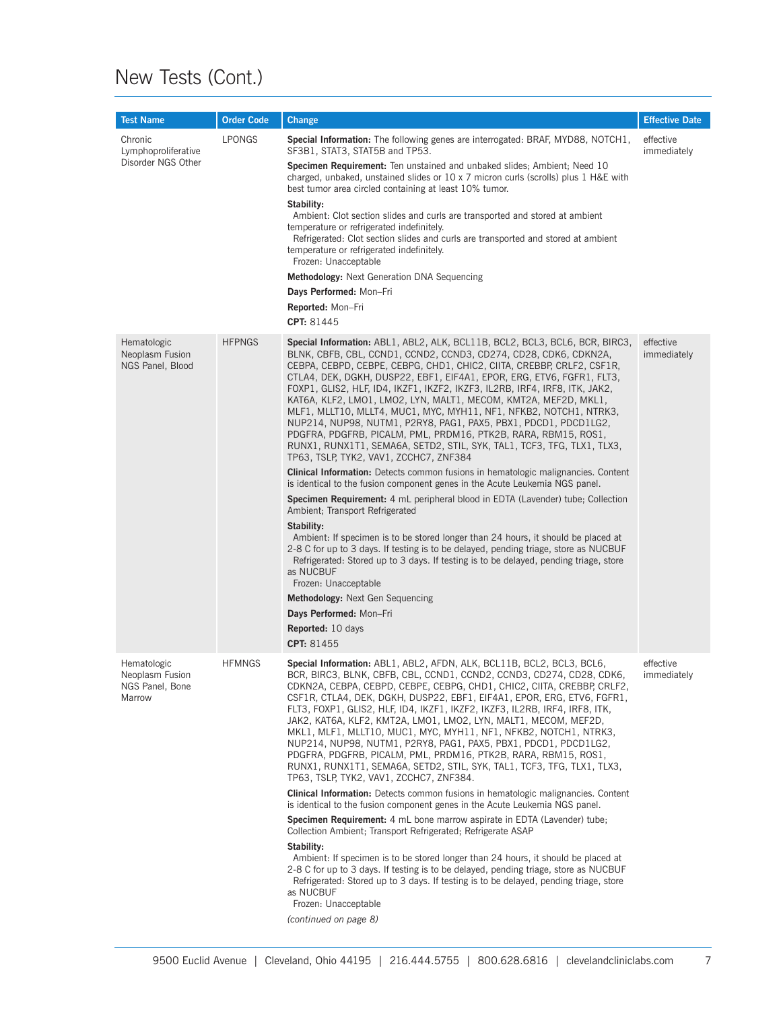# New Tests (Cont.)

| <b>Test Name</b>                                            | <b>Order Code</b> | Change                                                                                                                                                                                                                                                                                                                                                                                                                                                                                                                                                                                                                                                                                                                                                                           | <b>Effective Date</b>    |
|-------------------------------------------------------------|-------------------|----------------------------------------------------------------------------------------------------------------------------------------------------------------------------------------------------------------------------------------------------------------------------------------------------------------------------------------------------------------------------------------------------------------------------------------------------------------------------------------------------------------------------------------------------------------------------------------------------------------------------------------------------------------------------------------------------------------------------------------------------------------------------------|--------------------------|
| Chronic<br>Lymphoproliferative                              | <b>LPONGS</b>     | <b>Special Information:</b> The following genes are interrogated: BRAF, MYD88, NOTCH1,<br>SF3B1, STAT3, STAT5B and TP53.                                                                                                                                                                                                                                                                                                                                                                                                                                                                                                                                                                                                                                                         | effective<br>immediately |
| Disorder NGS Other                                          |                   | Specimen Requirement: Ten unstained and unbaked slides; Ambient; Need 10<br>charged, unbaked, unstained slides or 10 x 7 micron curls (scrolls) plus 1 H&E with<br>best tumor area circled containing at least 10% tumor.                                                                                                                                                                                                                                                                                                                                                                                                                                                                                                                                                        |                          |
|                                                             |                   | Stability:<br>Ambient: Clot section slides and curls are transported and stored at ambient<br>temperature or refrigerated indefinitely.<br>Refrigerated: Clot section slides and curls are transported and stored at ambient<br>temperature or refrigerated indefinitely.                                                                                                                                                                                                                                                                                                                                                                                                                                                                                                        |                          |
|                                                             |                   | Frozen: Unacceptable<br><b>Methodology:</b> Next Generation DNA Sequencing                                                                                                                                                                                                                                                                                                                                                                                                                                                                                                                                                                                                                                                                                                       |                          |
|                                                             |                   | Days Performed: Mon-Fri<br>Reported: Mon-Fri                                                                                                                                                                                                                                                                                                                                                                                                                                                                                                                                                                                                                                                                                                                                     |                          |
|                                                             |                   | CPT: 81445                                                                                                                                                                                                                                                                                                                                                                                                                                                                                                                                                                                                                                                                                                                                                                       |                          |
|                                                             |                   |                                                                                                                                                                                                                                                                                                                                                                                                                                                                                                                                                                                                                                                                                                                                                                                  |                          |
| Hematologic<br>Neoplasm Fusion<br>NGS Panel, Blood          | <b>HFPNGS</b>     | Special Information: ABL1, ABL2, ALK, BCL11B, BCL2, BCL3, BCL6, BCR, BIRC3,<br>BLNK, CBFB, CBL, CCND1, CCND2, CCND3, CD274, CD28, CDK6, CDKN2A,<br>CEBPA, CEBPD, CEBPE, CEBPG, CHD1, CHIC2, CIITA, CREBBP, CRLF2, CSF1R,<br>CTLA4, DEK, DGKH, DUSP22, EBF1, EIF4A1, EPOR, ERG, ETV6, FGFR1, FLT3,<br>FOXP1, GLIS2, HLF, ID4, IKZF1, IKZF2, IKZF3, IL2RB, IRF4, IRF8, ITK, JAK2,<br>KAT6A, KLF2, LMO1, LMO2, LYN, MALT1, MECOM, KMT2A, MEF2D, MKL1,<br>MLF1, MLLT10, MLLT4, MUC1, MYC, MYH11, NF1, NFKB2, NOTCH1, NTRK3,<br>NUP214, NUP98, NUTM1, P2RY8, PAG1, PAX5, PBX1, PDCD1, PDCD1LG2,<br>PDGFRA, PDGFRB, PICALM, PML, PRDM16, PTK2B, RARA, RBM15, ROS1,<br>RUNX1, RUNX1T1, SEMA6A, SETD2, STIL, SYK, TAL1, TCF3, TFG, TLX1, TLX3,<br>TP63, TSLP, TYK2, VAV1, ZCCHC7, ZNF384 | effective<br>immediately |
|                                                             |                   | <b>Clinical Information:</b> Detects common fusions in hematologic malignancies. Content<br>is identical to the fusion component genes in the Acute Leukemia NGS panel.                                                                                                                                                                                                                                                                                                                                                                                                                                                                                                                                                                                                          |                          |
|                                                             |                   | <b>Specimen Requirement:</b> 4 mL peripheral blood in EDTA (Lavender) tube; Collection<br>Ambient; Transport Refrigerated                                                                                                                                                                                                                                                                                                                                                                                                                                                                                                                                                                                                                                                        |                          |
|                                                             |                   | Stability:<br>Ambient: If specimen is to be stored longer than 24 hours, it should be placed at<br>2-8 C for up to 3 days. If testing is to be delayed, pending triage, store as NUCBUF<br>Refrigerated: Stored up to 3 days. If testing is to be delayed, pending triage, store<br>as NUCBUF<br>Frozen: Unacceptable                                                                                                                                                                                                                                                                                                                                                                                                                                                            |                          |
|                                                             |                   | Methodology: Next Gen Sequencing                                                                                                                                                                                                                                                                                                                                                                                                                                                                                                                                                                                                                                                                                                                                                 |                          |
|                                                             |                   | Days Performed: Mon-Fri                                                                                                                                                                                                                                                                                                                                                                                                                                                                                                                                                                                                                                                                                                                                                          |                          |
|                                                             |                   | <b>Reported:</b> 10 days                                                                                                                                                                                                                                                                                                                                                                                                                                                                                                                                                                                                                                                                                                                                                         |                          |
|                                                             |                   | CPT: 81455                                                                                                                                                                                                                                                                                                                                                                                                                                                                                                                                                                                                                                                                                                                                                                       |                          |
| Hematologic<br>Neoplasm Fusion<br>NGS Panel, Bone<br>Marrow | <b>HFMNGS</b>     | Special Information: ABL1, ABL2, AFDN, ALK, BCL11B, BCL2, BCL3, BCL6,<br>BCR, BIRC3, BLNK, CBFB, CBL, CCND1, CCND2, CCND3, CD274, CD28, CDK6,<br>CDKN2A, CEBPA, CEBPD, CEBPE, CEBPG, CHD1, CHIC2, CIITA, CREBBP, CRLF2,<br>CSF1R, CTLA4, DEK, DGKH, DUSP22, EBF1, EIF4A1, EPOR, ERG, ETV6, FGFR1,<br>FLT3, FOXP1, GLIS2, HLF, ID4, IKZF1, IKZF2, IKZF3, IL2RB, IRF4, IRF8, ITK,<br>JAK2, KAT6A, KLF2, KMT2A, LMO1, LMO2, LYN, MALT1, MECOM, MEF2D,<br>MKL1, MLF1, MLLT10, MUC1, MYC, MYH11, NF1, NFKB2, NOTCH1, NTRK3,<br>NUP214, NUP98, NUTM1, P2RY8, PAG1, PAX5, PBX1, PDCD1, PDCD1LG2,<br>PDGFRA, PDGFRB, PICALM, PML, PRDM16, PTK2B, RARA, RBM15, ROS1,<br>RUNX1, RUNX1T1, SEMA6A, SETD2, STIL, SYK, TAL1, TCF3, TFG, TLX1, TLX3,<br>TP63, TSLP, TYK2, VAV1, ZCCHC7, ZNF384. | effective<br>immediately |
|                                                             |                   | <b>Clinical Information:</b> Detects common fusions in hematologic malignancies. Content<br>is identical to the fusion component genes in the Acute Leukemia NGS panel.                                                                                                                                                                                                                                                                                                                                                                                                                                                                                                                                                                                                          |                          |
|                                                             |                   | Specimen Requirement: 4 mL bone marrow aspirate in EDTA (Lavender) tube;<br>Collection Ambient; Transport Refrigerated; Refrigerate ASAP                                                                                                                                                                                                                                                                                                                                                                                                                                                                                                                                                                                                                                         |                          |
|                                                             |                   | Stability:<br>Ambient: If specimen is to be stored longer than 24 hours, it should be placed at<br>2-8 C for up to 3 days. If testing is to be delayed, pending triage, store as NUCBUF<br>Refrigerated: Stored up to 3 days. If testing is to be delayed, pending triage, store<br>as NUCBUF<br>Frozen: Unacceptable                                                                                                                                                                                                                                                                                                                                                                                                                                                            |                          |
|                                                             |                   | (continued on page 8)                                                                                                                                                                                                                                                                                                                                                                                                                                                                                                                                                                                                                                                                                                                                                            |                          |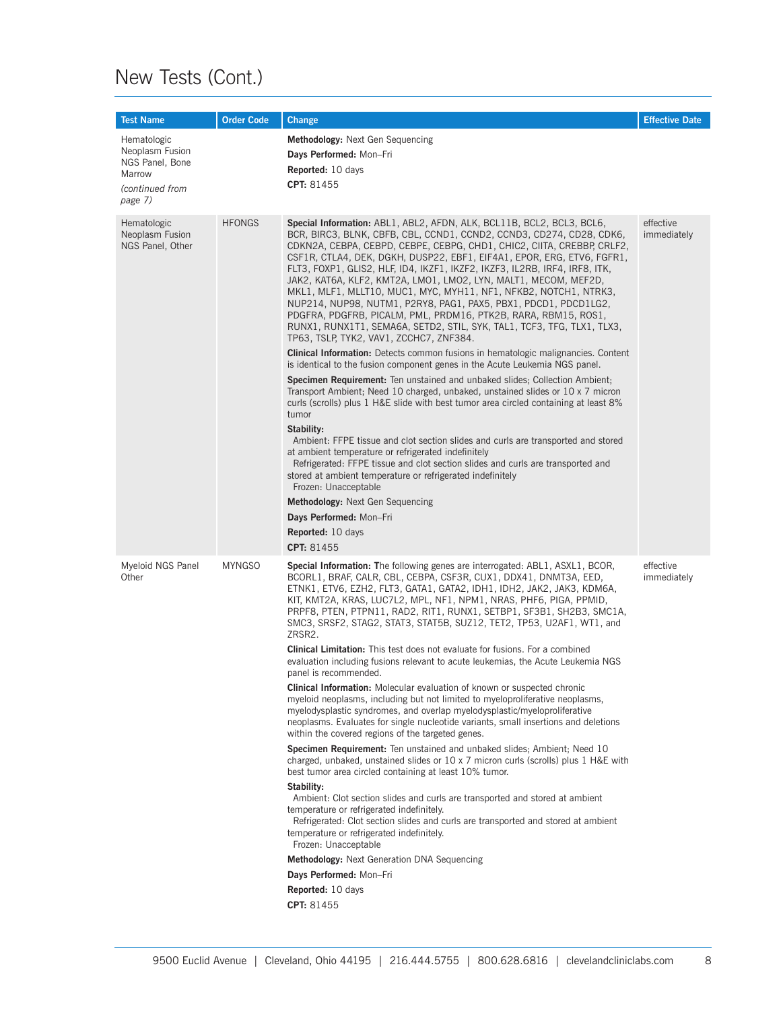# New Tests (Cont.)

| <b>Test Name</b>                                                                          | <b>Order Code</b> | Change                                                                                                                                                                                                                                                                                                                                                                                                                                                                                                                                                                                                                                                                                                                                                                                                                                                                                                                                                                                                                                                                                                                                                                                                                                                                                                                                                                                                                                                                                                                                                                                                                                                                                                                    | <b>Effective Date</b>    |
|-------------------------------------------------------------------------------------------|-------------------|---------------------------------------------------------------------------------------------------------------------------------------------------------------------------------------------------------------------------------------------------------------------------------------------------------------------------------------------------------------------------------------------------------------------------------------------------------------------------------------------------------------------------------------------------------------------------------------------------------------------------------------------------------------------------------------------------------------------------------------------------------------------------------------------------------------------------------------------------------------------------------------------------------------------------------------------------------------------------------------------------------------------------------------------------------------------------------------------------------------------------------------------------------------------------------------------------------------------------------------------------------------------------------------------------------------------------------------------------------------------------------------------------------------------------------------------------------------------------------------------------------------------------------------------------------------------------------------------------------------------------------------------------------------------------------------------------------------------------|--------------------------|
| Hematologic<br>Neoplasm Fusion<br>NGS Panel, Bone<br>Marrow<br>(continued from<br>page 7) |                   | <b>Methodology:</b> Next Gen Sequencing<br>Days Performed: Mon-Fri<br><b>Reported:</b> 10 days<br>CPT: 81455                                                                                                                                                                                                                                                                                                                                                                                                                                                                                                                                                                                                                                                                                                                                                                                                                                                                                                                                                                                                                                                                                                                                                                                                                                                                                                                                                                                                                                                                                                                                                                                                              |                          |
| Hematologic<br>Neoplasm Fusion<br>NGS Panel, Other                                        | <b>HFONGS</b>     | Special Information: ABL1, ABL2, AFDN, ALK, BCL11B, BCL2, BCL3, BCL6,<br>BCR, BIRC3, BLNK, CBFB, CBL, CCND1, CCND2, CCND3, CD274, CD28, CDK6,<br>CDKN2A, CEBPA, CEBPD, CEBPE, CEBPG, CHD1, CHIC2, CIITA, CREBBP, CRLF2,<br>CSF1R, CTLA4, DEK, DGKH, DUSP22, EBF1, EIF4A1, EPOR, ERG, ETV6, FGFR1,<br>FLT3, FOXP1, GLIS2, HLF, ID4, IKZF1, IKZF2, IKZF3, IL2RB, IRF4, IRF8, ITK,<br>JAK2, KAT6A, KLF2, KMT2A, LMO1, LMO2, LYN, MALT1, MECOM, MEF2D,<br>MKL1, MLF1, MLLT10, MUC1, MYC, MYH11, NF1, NFKB2, NOTCH1, NTRK3,<br>NUP214, NUP98, NUTM1, P2RY8, PAG1, PAX5, PBX1, PDCD1, PDCD1LG2,<br>PDGFRA, PDGFRB, PICALM, PML, PRDM16, PTK2B, RARA, RBM15, ROS1,<br>RUNX1, RUNX1T1, SEMA6A, SETD2, STIL, SYK, TAL1, TCF3, TFG, TLX1, TLX3,<br>TP63, TSLP, TYK2, VAV1, ZCCHC7, ZNF384.<br><b>Clinical Information:</b> Detects common fusions in hematologic malignancies. Content<br>is identical to the fusion component genes in the Acute Leukemia NGS panel.<br><b>Specimen Requirement:</b> Ten unstained and unbaked slides; Collection Ambient;<br>Transport Ambient; Need 10 charged, unbaked, unstained slides or 10 x 7 micron<br>curls (scrolls) plus 1 H&E slide with best tumor area circled containing at least 8%<br>tumor<br>Stability:<br>Ambient: FFPE tissue and clot section slides and curls are transported and stored<br>at ambient temperature or refrigerated indefinitely<br>Refrigerated: FFPE tissue and clot section slides and curls are transported and<br>stored at ambient temperature or refrigerated indefinitely<br>Frozen: Unacceptable<br>Methodology: Next Gen Sequencing<br>Days Performed: Mon-Fri<br><b>Reported:</b> 10 days<br>CPT: 81455                                          | effective<br>immediately |
| Myeloid NGS Panel<br>Other                                                                | <b>MYNGSO</b>     | <b>Special Information: The following genes are interrogated: ABL1, ASXL1, BCOR,</b><br>BCORL1, BRAF, CALR, CBL, CEBPA, CSF3R, CUX1, DDX41, DNMT3A, EED,<br>ETNK1, ETV6, EZH2, FLT3, GATA1, GATA2, IDH1, IDH2, JAK2, JAK3, KDM6A,<br>KIT, KMT2A, KRAS, LUC7L2, MPL, NF1, NPM1, NRAS, PHF6, PIGA, PPMID,<br>PRPF8, PTEN, PTPN11, RAD2, RIT1, RUNX1, SETBP1, SF3B1, SH2B3, SMC1A,<br>SMC3, SRSF2, STAG2, STAT3, STAT5B, SUZ12, TET2, TP53, U2AF1, WT1, and<br>ZRSR2.<br><b>Clinical Limitation:</b> This test does not evaluate for fusions. For a combined<br>evaluation including fusions relevant to acute leukemias, the Acute Leukemia NGS<br>panel is recommended.<br>Clinical Information: Molecular evaluation of known or suspected chronic<br>myeloid neoplasms, including but not limited to myeloproliferative neoplasms,<br>myelodysplastic syndromes, and overlap myelodysplastic/myeloproliferative<br>neoplasms. Evaluates for single nucleotide variants, small insertions and deletions<br>within the covered regions of the targeted genes.<br>Specimen Requirement: Ten unstained and unbaked slides; Ambient; Need 10<br>charged, unbaked, unstained slides or $10 \times 7$ micron curls (scrolls) plus 1 H&E with<br>best tumor area circled containing at least 10% tumor.<br>Stability:<br>Ambient: Clot section slides and curls are transported and stored at ambient<br>temperature or refrigerated indefinitely.<br>Refrigerated: Clot section slides and curls are transported and stored at ambient<br>temperature or refrigerated indefinitely.<br>Frozen: Unacceptable<br>Methodology: Next Generation DNA Sequencing<br>Days Performed: Mon-Fri<br><b>Reported:</b> 10 days<br>CPT: 81455 | effective<br>immediately |